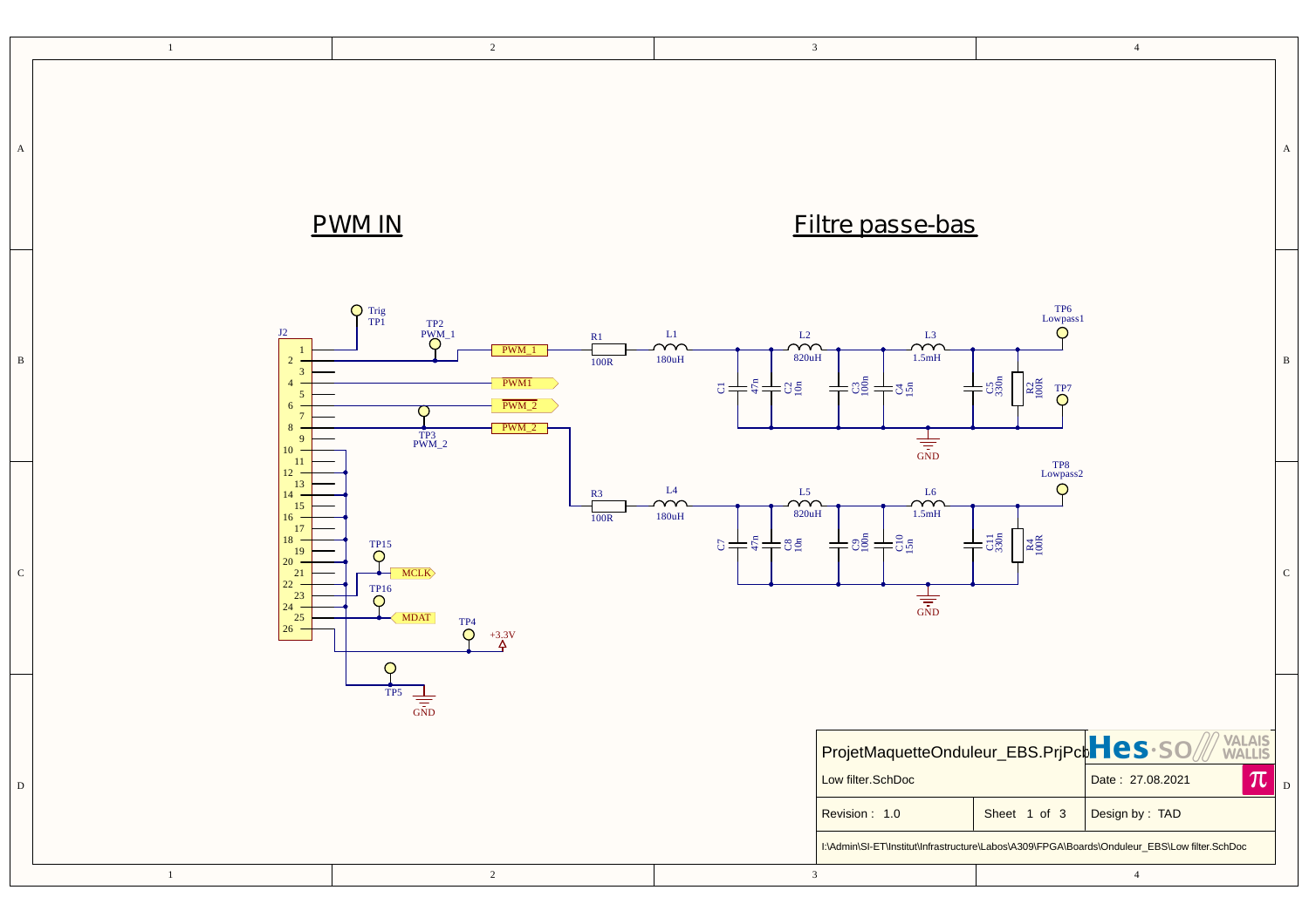|              | $\sqrt{2}$<br>$\,$ $\,$ $\,$                                                                                                                                                                                                                                                                                  |            | $\overline{\mathbf{3}}$                                                                                 |                                                                                                                                                                                                                                              |                                                                                          | $\overline{4}$                                                                                                                                                                                                    |              |
|--------------|---------------------------------------------------------------------------------------------------------------------------------------------------------------------------------------------------------------------------------------------------------------------------------------------------------------|------------|---------------------------------------------------------------------------------------------------------|----------------------------------------------------------------------------------------------------------------------------------------------------------------------------------------------------------------------------------------------|------------------------------------------------------------------------------------------|-------------------------------------------------------------------------------------------------------------------------------------------------------------------------------------------------------------------|--------------|
| $\mathbf A$  | <b>PWM IN</b>                                                                                                                                                                                                                                                                                                 |            |                                                                                                         | <b>Filtre passe-bas</b>                                                                                                                                                                                                                      |                                                                                          |                                                                                                                                                                                                                   | $\mathbf{A}$ |
| $\, {\bf B}$ | $\bigcap_{TP1}^{Trig}$<br>$T_{\text{PM\_1}}^{T}$<br>J2<br>$\circ$<br>$-PWM_1$<br>$\overline{2}$<br>$\overline{\mathbf{3}}$<br>PWM1<br>$\overline{4}$<br>$\overline{5}$<br>$PWM_2$<br>$6 -$<br>$7\phantom{.0}$<br>$PWM_2$<br>8<br>$T_{\text{PWM}_2}^{\text{TP3}}$<br>9<br>10                                   | R1<br>100R | L1<br>$\overline{\mathcal{M}}$<br>$\sim$<br>820uH<br>$180uH$<br>$\vec{C} = \vec{C} + \vec{C} + \vec{C}$ | $\sim$ <sup>L3</sup><br>1.5mH<br>$+$ $\frac{1}{2}$ $\frac{1}{2}$ $\frac{1}{2}$ $\frac{1}{2}$ $\frac{1}{2}$ $\frac{1}{2}$ $\frac{1}{2}$ $\frac{1}{2}$<br>$\frac{1}{\frac{1}{\sin D}}$                                                         | $\frac{\text{TP6}}{\text{Lowpass1}}$<br>◯<br>$+$ $\circ$<br>$R_{\odot}^{\textrm{max}}$   |                                                                                                                                                                                                                   | $\, {\bf B}$ |
| ${\bf C}$    | 11<br>12 <sup>7</sup><br>13<br>$14 -$<br>15<br>$16 -$<br>17<br>18<br>$\overline{\bigcirc}^{\text{TP15}}$<br>19<br>20<br>$-MCLK$<br>$\begin{array}{c} 21 \\ 22 \end{array}$<br>$\overline{\mathsf{Q}}^{16}$<br>23<br>$24 -$<br>$\frac{25}{26}$<br>$\sqrt{\text{MDAT}}$<br>$\overline{O}^{TP4}$<br>$+3.3V$<br>O | R3<br>100R | $\rm L4$<br>L5<br>YY<br>$\rightsquigarrow$<br>820uH<br>$180uH$<br>$5+5+85$                              | ${\rm L6}$<br>$\begin{array}{c}\n\curvearrowleft \\ 1.5mH\n\end{array}$<br>$+$ $\frac{1}{2}$ $\frac{1}{2}$ $\frac{1}{2}$ $\frac{1}{2}$ $\frac{1}{2}$ $\frac{1}{2}$ $\frac{1}{2}$ $\frac{1}{2}$ $\frac{1}{2}$<br>$\frac{1}{\frac{1}{\sin D}}$ | $$\tt TP8$$ Lowpass<br>2<br>$\bigcirc$<br>$\pm$ 5 $\frac{5}{2}$<br>$R4$ <sub>100</sub> R |                                                                                                                                                                                                                   | ${\rm C}$    |
| $\mathbf D$  | TP <sub>5</sub><br>$\frac{1}{\sqrt{1-\frac{1}{2}}}$<br>$\sqrt{2}$<br>$\mathbf{1}$                                                                                                                                                                                                                             |            | $\mathfrak{Z}$                                                                                          | Low filter.SchDoc<br>Revision: 1.0                                                                                                                                                                                                           | Sheet 1 of 3                                                                             | ProjetMaquetteOnduleur_EBS.PrjPcbHes·SOMWALLIS<br>$ \pi $<br>Date: 27.08.2021<br>Design by: TAD<br>I:\Admin\SI-ET\Institut\Infrastructure\Labos\A309\FPGA\Boards\Onduleur_EBS\Low filter.SchDoc<br>$\overline{4}$ | $\vert$ D    |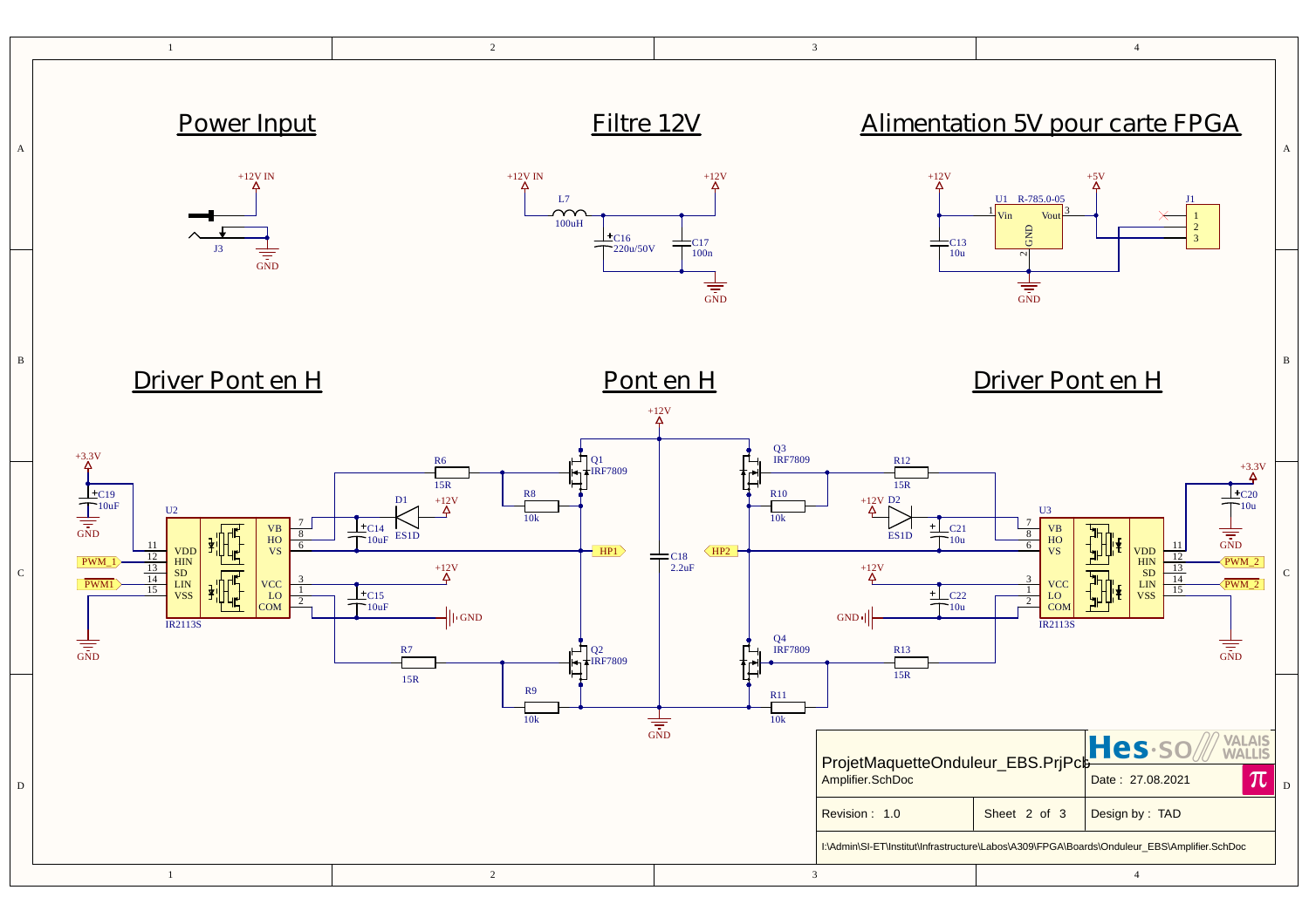